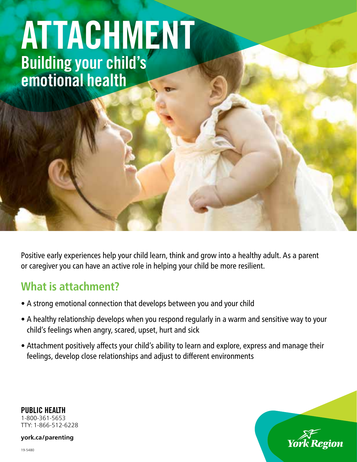# ATTACHMENT Building your child's emotional health

Positive early experiences help your child learn, think and grow into a healthy adult. As a parent or caregiver you can have an active role in helping your child be more resilient.

### **What is attachment?**

- A strong emotional connection that develops between you and your child
- A healthy relationship develops when you respond regularly in a warm and sensitive way to your child's feelings when angry, scared, upset, hurt and sick
- Attachment positively affects your child's ability to learn and explore, express and manage their feelings, develop close relationships and adjust to different environments

York Region

PUBLIC HEALTH 1-800-361-5653 TTY: 1-866-512-6228

**[york.ca/parenting](york.ca/breastfeeding)**